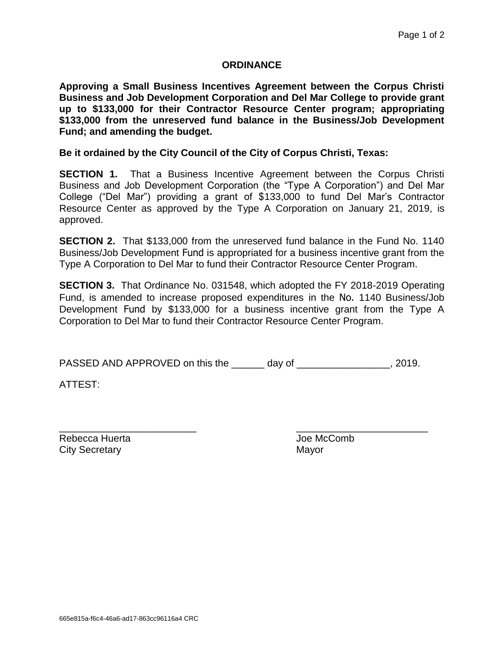## **ORDINANCE**

**Approving a Small Business Incentives Agreement between the Corpus Christi Business and Job Development Corporation and Del Mar College to provide grant up to \$133,000 for their Contractor Resource Center program; appropriating \$133,000 from the unreserved fund balance in the Business/Job Development Fund; and amending the budget.**

## **Be it ordained by the City Council of the City of Corpus Christi, Texas:**

**SECTION 1.** That a Business Incentive Agreement between the Corpus Christi Business and Job Development Corporation (the "Type A Corporation") and Del Mar College ("Del Mar") providing a grant of \$133,000 to fund Del Mar's Contractor Resource Center as approved by the Type A Corporation on January 21, 2019, is approved.

**SECTION 2.** That \$133,000 from the unreserved fund balance in the Fund No. 1140 Business/Job Development Fund is appropriated for a business incentive grant from the Type A Corporation to Del Mar to fund their Contractor Resource Center Program.

**SECTION 3.** That Ordinance No. 031548, which adopted the FY 2018-2019 Operating Fund, is amended to increase proposed expenditures in the No. 1140 Business/Job Development Fund by \$133,000 for a business incentive grant from the Type A Corporation to Del Mar to fund their Contractor Resource Center Program.

PASSED AND APPROVED on this the \_\_\_\_\_\_ day of \_\_\_\_\_\_\_\_\_\_\_\_\_\_\_\_\_, 2019.

ATTEST:

Rebecca Huerta **Comb** Joe McComb City Secretary **Mayor** Mayor

\_\_\_\_\_\_\_\_\_\_\_\_\_\_\_\_\_\_\_\_\_\_\_\_\_ \_\_\_\_\_\_\_\_\_\_\_\_\_\_\_\_\_\_\_\_\_\_\_\_